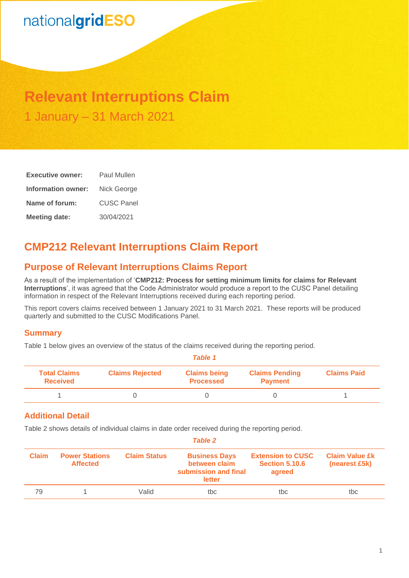# nationalgridESO

## **Relevant Interruptions Claim** 1 January – 31 March 2021

| <b>Executive owner:</b> | Paul Mullen       |  |  |
|-------------------------|-------------------|--|--|
| Information owner:      | Nick George       |  |  |
| Name of forum:          | <b>CUSC Panel</b> |  |  |
| <b>Meeting date:</b>    | 30/04/2021        |  |  |

## **CMP212 Relevant Interruptions Claim Report**

## **Purpose of Relevant Interruptions Claims Report**

As a result of the implementation of '**CMP212: Process for setting minimum limits for claims for Relevant Interruptions**', it was agreed that the Code Administrator would produce a report to the CUSC Panel detailing information in respect of the Relevant Interruptions received during each reporting period.

This report covers claims received between 1 January 2021 to 31 March 2021. These reports will be produced quarterly and submitted to the CUSC Modifications Panel.

### **Summary**

Table 1 below gives an overview of the status of the claims received during the reporting period.

| Table 1                                |                        |                                         |                                         |                    |
|----------------------------------------|------------------------|-----------------------------------------|-----------------------------------------|--------------------|
| <b>Total Claims</b><br><b>Received</b> | <b>Claims Rejected</b> | <b>Claims being</b><br><b>Processed</b> | <b>Claims Pending</b><br><b>Payment</b> | <b>Claims Paid</b> |
|                                        |                        |                                         |                                         |                    |

### **Additional Detail**

Table 2 shows details of individual claims in date order received during the reporting period.

| <b>Table 2</b> |                                          |                     |                                                                         |                                                             |                                        |
|----------------|------------------------------------------|---------------------|-------------------------------------------------------------------------|-------------------------------------------------------------|----------------------------------------|
| <b>Claim</b>   | <b>Power Stations</b><br><b>Affected</b> | <b>Claim Status</b> | <b>Business Days</b><br>between claim<br>submission and final<br>letter | <b>Extension to CUSC</b><br><b>Section 5.10.6</b><br>agreed | <b>Claim Value £k</b><br>(nearest £5k) |
| 79             |                                          | Valid               | tbc                                                                     | tbc                                                         | tbc                                    |